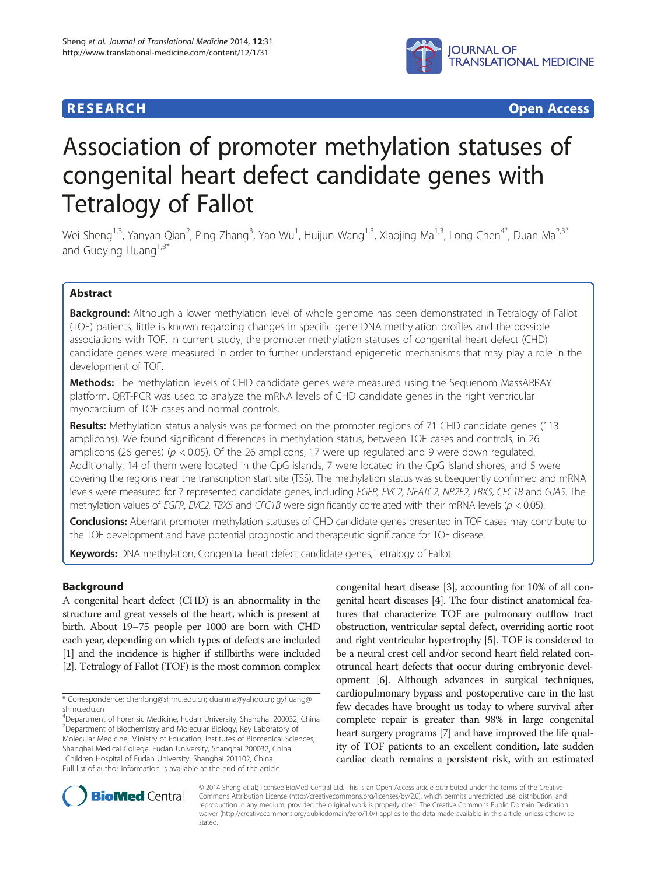## **RESEARCH CHINESE ARCH CHINESE ARCH CHINESE ARCH <b>CHINESE ARCH**



# Association of promoter methylation statuses of congenital heart defect candidate genes with Tetralogy of Fallot

Wei Sheng<sup>1,3</sup>, Yanyan Qian<sup>2</sup>, Ping Zhang<sup>3</sup>, Yao Wu<sup>1</sup>, Huijun Wang<sup>1,3</sup>, Xiaojing Ma<sup>1,3</sup>, Long Chen<sup>4\*</sup>, Duan Ma<sup>2,3\*</sup> and Guoying Huang $1,3^*$ 

## Abstract

Background: Although a lower methylation level of whole genome has been demonstrated in Tetralogy of Fallot (TOF) patients, little is known regarding changes in specific gene DNA methylation profiles and the possible associations with TOF. In current study, the promoter methylation statuses of congenital heart defect (CHD) candidate genes were measured in order to further understand epigenetic mechanisms that may play a role in the development of TOF.

Methods: The methylation levels of CHD candidate genes were measured using the Sequenom MassARRAY platform. QRT-PCR was used to analyze the mRNA levels of CHD candidate genes in the right ventricular myocardium of TOF cases and normal controls.

Results: Methylation status analysis was performed on the promoter regions of 71 CHD candidate genes (113 amplicons). We found significant differences in methylation status, between TOF cases and controls, in 26 amplicons (26 genes) ( $p < 0.05$ ). Of the 26 amplicons, 17 were up regulated and 9 were down regulated. Additionally, 14 of them were located in the CpG islands, 7 were located in the CpG island shores, and 5 were covering the regions near the transcription start site (TSS). The methylation status was subsequently confirmed and mRNA levels were measured for 7 represented candidate genes, including EGFR, EVC2, NFATC2, NR2F2, TBX5, CFC1B and GJA5. The methylation values of EGFR, EVC2, TBX5 and CFC1B were significantly correlated with their mRNA levels ( $p < 0.05$ ).

Conclusions: Aberrant promoter methylation statuses of CHD candidate genes presented in TOF cases may contribute to the TOF development and have potential prognostic and therapeutic significance for TOF disease.

Keywords: DNA methylation, Congenital heart defect candidate genes, Tetralogy of Fallot

## Background

A congenital heart defect (CHD) is an abnormality in the structure and great vessels of the heart, which is present at birth. About 19–75 people per 1000 are born with CHD each year, depending on which types of defects are included [[1](#page-7-0)] and the incidence is higher if stillbirths were included [[2](#page-7-0)]. Tetralogy of Fallot (TOF) is the most common complex

4 Department of Forensic Medicine, Fudan University, Shanghai 200032, China 2 Department of Biochemistry and Molecular Biology, Key Laboratory of Molecular Medicine, Ministry of Education, Institutes of Biomedical Sciences, Shanghai Medical College, Fudan University, Shanghai 200032, China <sup>1</sup>Children Hospital of Fudan University, Shanghai 201102, China Full list of author information is available at the end of the article

congenital heart disease [\[3\]](#page-7-0), accounting for 10% of all congenital heart diseases [\[4](#page-7-0)]. The four distinct anatomical features that characterize TOF are pulmonary outflow tract obstruction, ventricular septal defect, overriding aortic root and right ventricular hypertrophy [\[5\]](#page-7-0). TOF is considered to be a neural crest cell and/or second heart field related conotruncal heart defects that occur during embryonic development [\[6\]](#page-7-0). Although advances in surgical techniques, cardiopulmonary bypass and postoperative care in the last few decades have brought us today to where survival after complete repair is greater than 98% in large congenital heart surgery programs [\[7](#page-8-0)] and have improved the life quality of TOF patients to an excellent condition, late sudden cardiac death remains a persistent risk, with an estimated



© 2014 Sheng et al.; licensee BioMed Central Ltd. This is an Open Access article distributed under the terms of the Creative Commons Attribution License [\(http://creativecommons.org/licenses/by/2.0\)](http://creativecommons.org/licenses/by/2.0), which permits unrestricted use, distribution, and reproduction in any medium, provided the original work is properly cited. The Creative Commons Public Domain Dedication waiver [\(http://creativecommons.org/publicdomain/zero/1.0/\)](http://creativecommons.org/publicdomain/zero/1.0/) applies to the data made available in this article, unless otherwise stated.

<sup>\*</sup> Correspondence: [chenlong@shmu.edu.cn](mailto:chenlong@shmu.edu.cn); [duanma@yahoo.cn](mailto:duanma@yahoo.cn); [gyhuang@](mailto:gyhuang@shmu.edu.cn) [shmu.edu.cn](mailto:gyhuang@shmu.edu.cn)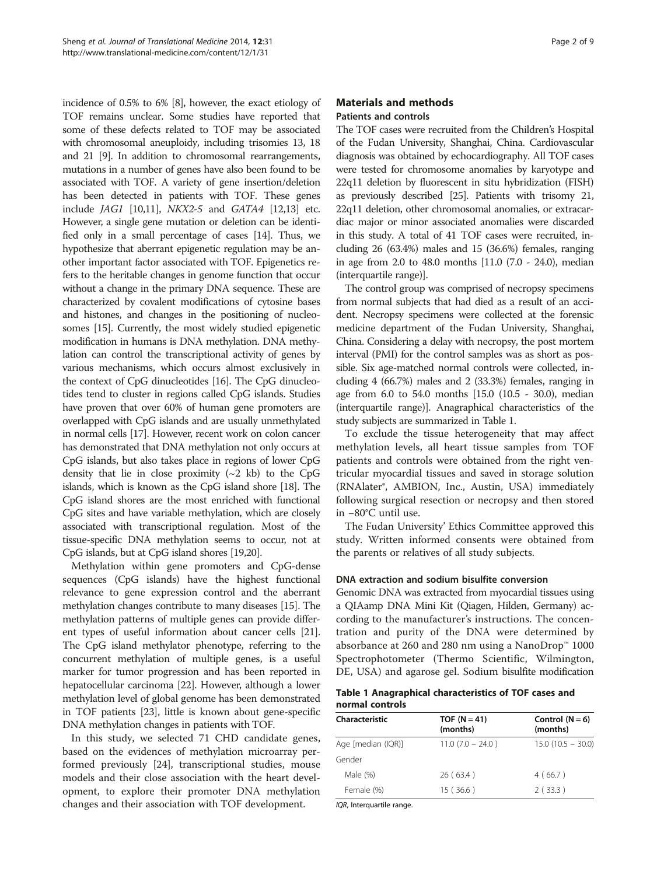incidence of 0.5% to 6% [[8](#page-8-0)], however, the exact etiology of TOF remains unclear. Some studies have reported that some of these defects related to TOF may be associated with chromosomal aneuploidy, including trisomies 13, 18 and 21 [[9](#page-8-0)]. In addition to chromosomal rearrangements, mutations in a number of genes have also been found to be associated with TOF. A variety of gene insertion/deletion has been detected in patients with TOF. These genes include JAG1 [\[10,11](#page-8-0)], NKX2-5 and GATA4 [[12,13](#page-8-0)] etc. However, a single gene mutation or deletion can be identified only in a small percentage of cases [\[14](#page-8-0)]. Thus, we hypothesize that aberrant epigenetic regulation may be another important factor associated with TOF. Epigenetics refers to the heritable changes in genome function that occur without a change in the primary DNA sequence. These are characterized by covalent modifications of cytosine bases and histones, and changes in the positioning of nucleosomes [\[15](#page-8-0)]. Currently, the most widely studied epigenetic modification in humans is DNA methylation. DNA methylation can control the transcriptional activity of genes by various mechanisms, which occurs almost exclusively in the context of CpG dinucleotides [\[16\]](#page-8-0). The CpG dinucleotides tend to cluster in regions called CpG islands. Studies have proven that over 60% of human gene promoters are overlapped with CpG islands and are usually unmethylated in normal cells [[17](#page-8-0)]. However, recent work on colon cancer has demonstrated that DNA methylation not only occurs at CpG islands, but also takes place in regions of lower CpG density that lie in close proximity  $({\sim}2 \text{ kb})$  to the CpG islands, which is known as the CpG island shore [\[18\]](#page-8-0). The CpG island shores are the most enriched with functional CpG sites and have variable methylation, which are closely associated with transcriptional regulation. Most of the tissue-specific DNA methylation seems to occur, not at CpG islands, but at CpG island shores [[19,20\]](#page-8-0).

Methylation within gene promoters and CpG-dense sequences (CpG islands) have the highest functional relevance to gene expression control and the aberrant methylation changes contribute to many diseases [\[15\]](#page-8-0). The methylation patterns of multiple genes can provide different types of useful information about cancer cells [[21](#page-8-0)]. The CpG island methylator phenotype, referring to the concurrent methylation of multiple genes, is a useful marker for tumor progression and has been reported in hepatocellular carcinoma [[22](#page-8-0)]. However, although a lower methylation level of global genome has been demonstrated in TOF patients [\[23\]](#page-8-0), little is known about gene-specific DNA methylation changes in patients with TOF.

In this study, we selected 71 CHD candidate genes, based on the evidences of methylation microarray performed previously [[24\]](#page-8-0), transcriptional studies, mouse models and their close association with the heart development, to explore their promoter DNA methylation changes and their association with TOF development.

## Materials and methods Patients and controls

The TOF cases were recruited from the Children's Hospital of the Fudan University, Shanghai, China. Cardiovascular diagnosis was obtained by echocardiography. All TOF cases were tested for chromosome anomalies by karyotype and 22q11 deletion by fluorescent in situ hybridization (FISH) as previously described [[25](#page-8-0)]. Patients with trisomy 21, 22q11 deletion, other chromosomal anomalies, or extracardiac major or minor associated anomalies were discarded in this study. A total of 41 TOF cases were recruited, including 26 (63.4%) males and 15 (36.6%) females, ranging in age from 2.0 to 48.0 months [11.0 (7.0 - 24.0), median (interquartile range)].

The control group was comprised of necropsy specimens from normal subjects that had died as a result of an accident. Necropsy specimens were collected at the forensic medicine department of the Fudan University, Shanghai, China. Considering a delay with necropsy, the post mortem interval (PMI) for the control samples was as short as possible. Six age-matched normal controls were collected, including 4 (66.7%) males and 2 (33.3%) females, ranging in age from 6.0 to 54.0 months [15.0 (10.5 - 30.0), median (interquartile range)]. Anagraphical characteristics of the study subjects are summarized in Table 1.

To exclude the tissue heterogeneity that may affect methylation levels, all heart tissue samples from TOF patients and controls were obtained from the right ventricular myocardial tissues and saved in storage solution (RNAlater®, AMBION, Inc., Austin, USA) immediately following surgical resection or necropsy and then stored in −80°C until use.

The Fudan University' Ethics Committee approved this study. Written informed consents were obtained from the parents or relatives of all study subjects.

#### DNA extraction and sodium bisulfite conversion

Genomic DNA was extracted from myocardial tissues using a QIAamp DNA Mini Kit (Qiagen, Hilden, Germany) according to the manufacturer's instructions. The concentration and purity of the DNA were determined by absorbance at 260 and 280 nm using a NanoDrop™ 1000 Spectrophotometer (Thermo Scientific, Wilmington, DE, USA) and agarose gel. Sodium bisulfite modification

Table 1 Anagraphical characteristics of TOF cases and normal controls

| Characteristic     | TOF ( $N = 41$ )<br>(months) | Control $(N = 6)$<br>(months) |
|--------------------|------------------------------|-------------------------------|
| Age [median (IQR)] | $11.0$ (7.0 - 24.0)          | $15.0(10.5 - 30.0)$           |
| Gender             |                              |                               |
| Male $(\%)$        | 26(63.4)                     | 4(66.7)                       |
| Female (%)         | 15(36.6)                     | 2(33.3)                       |

IQR, Interquartile range.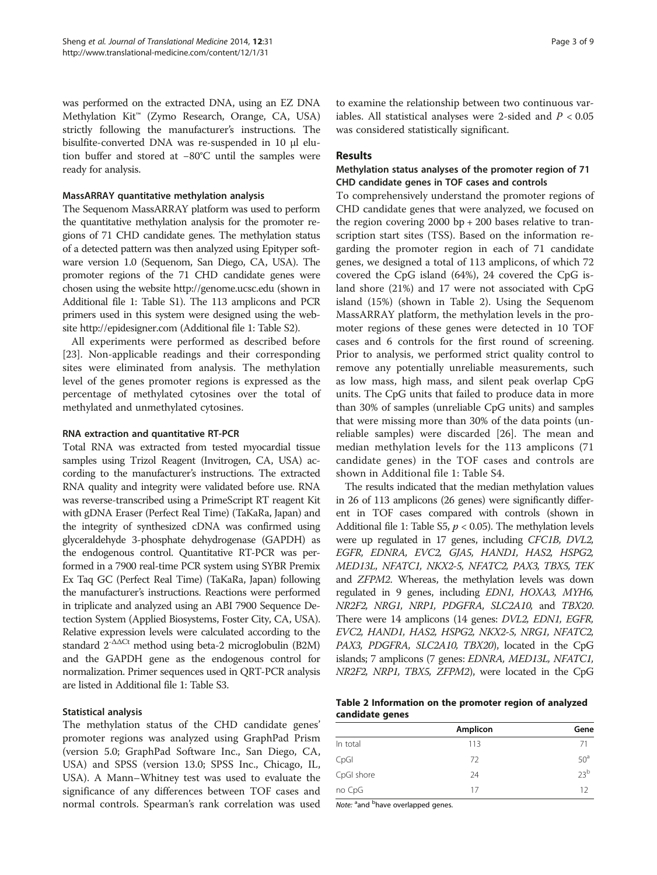was performed on the extracted DNA, using an EZ DNA Methylation Kit™ (Zymo Research, Orange, CA, USA) strictly following the manufacturer's instructions. The bisulfite-converted DNA was re-suspended in 10 μl elution buffer and stored at −80°C until the samples were ready for analysis.

#### MassARRAY quantitative methylation analysis

The Sequenom MassARRAY platform was used to perform the quantitative methylation analysis for the promoter regions of 71 CHD candidate genes. The methylation status of a detected pattern was then analyzed using Epityper software version 1.0 (Sequenom, San Diego, CA, USA). The promoter regions of the 71 CHD candidate genes were chosen using the website<http://genome.ucsc.edu> (shown in Additional file [1](#page-7-0): Table S1). The 113 amplicons and PCR primers used in this system were designed using the website<http://epidesigner.com> (Additional file [1](#page-7-0): Table S2).

All experiments were performed as described before [[23\]](#page-8-0). Non-applicable readings and their corresponding sites were eliminated from analysis. The methylation level of the genes promoter regions is expressed as the percentage of methylated cytosines over the total of methylated and unmethylated cytosines.

#### RNA extraction and quantitative RT-PCR

Total RNA was extracted from tested myocardial tissue samples using Trizol Reagent (Invitrogen, CA, USA) according to the manufacturer's instructions. The extracted RNA quality and integrity were validated before use. RNA was reverse-transcribed using a PrimeScript RT reagent Kit with gDNA Eraser (Perfect Real Time) (TaKaRa, Japan) and the integrity of synthesized cDNA was confirmed using glyceraldehyde 3-phosphate dehydrogenase (GAPDH) as the endogenous control. Quantitative RT-PCR was performed in a 7900 real-time PCR system using SYBR Premix Ex Taq GC (Perfect Real Time) (TaKaRa, Japan) following the manufacturer's instructions. Reactions were performed in triplicate and analyzed using an ABI 7900 Sequence Detection System (Applied Biosystems, Foster City, CA, USA). Relative expression levels were calculated according to the standard 2-ΔΔCt method using beta-2 microglobulin (B2M) and the GAPDH gene as the endogenous control for normalization. Primer sequences used in QRT-PCR analysis are listed in Additional file [1:](#page-7-0) Table S3.

#### Statistical analysis

The methylation status of the CHD candidate genes' promoter regions was analyzed using GraphPad Prism (version 5.0; GraphPad Software Inc., San Diego, CA, USA) and SPSS (version 13.0; SPSS Inc., Chicago, IL, USA). A Mann–Whitney test was used to evaluate the significance of any differences between TOF cases and normal controls. Spearman's rank correlation was used

to examine the relationship between two continuous variables. All statistical analyses were 2-sided and  $P < 0.05$ was considered statistically significant.

#### Results

## Methylation status analyses of the promoter region of 71 CHD candidate genes in TOF cases and controls

To comprehensively understand the promoter regions of CHD candidate genes that were analyzed, we focused on the region covering 2000 bp + 200 bases relative to transcription start sites (TSS). Based on the information regarding the promoter region in each of 71 candidate genes, we designed a total of 113 amplicons, of which 72 covered the CpG island (64%), 24 covered the CpG island shore (21%) and 17 were not associated with CpG island (15%) (shown in Table 2). Using the Sequenom MassARRAY platform, the methylation levels in the promoter regions of these genes were detected in 10 TOF cases and 6 controls for the first round of screening. Prior to analysis, we performed strict quality control to remove any potentially unreliable measurements, such as low mass, high mass, and silent peak overlap CpG units. The CpG units that failed to produce data in more than 30% of samples (unreliable CpG units) and samples that were missing more than 30% of the data points (unreliable samples) were discarded [\[26](#page-8-0)]. The mean and median methylation levels for the 113 amplicons (71 candidate genes) in the TOF cases and controls are shown in Additional file [1](#page-7-0): Table S4.

The results indicated that the median methylation values in 26 of 113 amplicons (26 genes) were significantly different in TOF cases compared with controls (shown in Additional file [1:](#page-7-0) Table S5,  $p < 0.05$ ). The methylation levels were up regulated in 17 genes, including CFC1B, DVL2, EGFR, EDNRA, EVC2, GJA5, HAND1, HAS2, HSPG2, MED13L, NFATC1, NKX2-5, NFATC2, PAX3, TBX5, TEK and ZFPM2. Whereas, the methylation levels was down regulated in 9 genes, including EDN1, HOXA3, MYH6, NR2F2, NRG1, NRP1, PDGFRA, SLC2A10, and TBX20. There were 14 amplicons (14 genes: DVL2, EDN1, EGFR, EVC2, HAND1, HAS2, HSPG2, NKX2-5, NRG1, NFATC2, PAX3, PDGFRA, SLC2A10, TBX20), located in the CpG islands; 7 amplicons (7 genes: EDNRA, MED13L, NFATC1, NR2F2, NRP1, TBX5, ZFPM2), were located in the CpG

Table 2 Information on the promoter region of analyzed candidate genes

|            | Amplicon | Gene            |
|------------|----------|-----------------|
| In total   | 113      | 71              |
| CpGI       | 72       | 50 <sup>a</sup> |
| CpGI shore | 24       | 23 <sup>b</sup> |
| no CpG     | 17       | 12              |

Note: <sup>a</sup>and <sup>b</sup>have overlapped genes.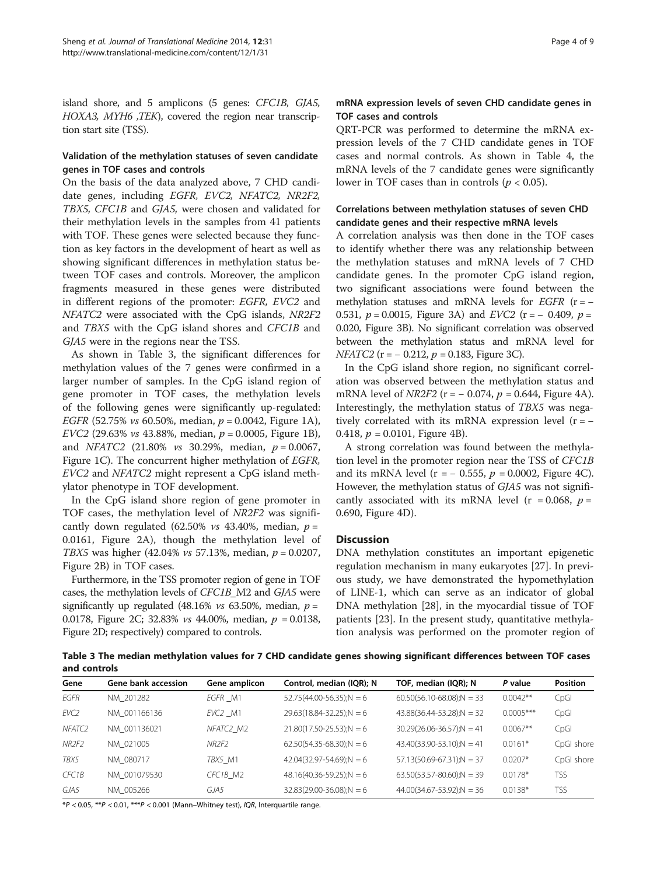island shore, and 5 amplicons (5 genes: CFC1B, GJA5, HOXA3, MYH6 ,TEK), covered the region near transcription start site (TSS).

## Validation of the methylation statuses of seven candidate genes in TOF cases and controls

On the basis of the data analyzed above, 7 CHD candidate genes, including EGFR, EVC2, NFATC2, NR2F2, TBX5, CFC1B and GJA5, were chosen and validated for their methylation levels in the samples from 41 patients with TOF. These genes were selected because they function as key factors in the development of heart as well as showing significant differences in methylation status between TOF cases and controls. Moreover, the amplicon fragments measured in these genes were distributed in different regions of the promoter: EGFR, EVC2 and NFATC2 were associated with the CpG islands, NR2F2 and TBX5 with the CpG island shores and CFC1B and GJA5 were in the regions near the TSS.

As shown in Table 3, the significant differences for methylation values of the 7 genes were confirmed in a larger number of samples. In the CpG island region of gene promoter in TOF cases, the methylation levels of the following genes were significantly up-regulated: EGFR (52.75% vs 60.50%, median,  $p = 0.0042$ , Figure [1](#page-4-0)A), EVC2 (29.63% *vs* 43.88%, median,  $p = 0.0005$ , Figure [1](#page-4-0)B), and *NFATC2* (21.80% *vs* 30.29%, median,  $p = 0.0067$ , Figure [1](#page-4-0)C). The concurrent higher methylation of EGFR, EVC2 and NFATC2 might represent a CpG island methylator phenotype in TOF development.

In the CpG island shore region of gene promoter in TOF cases, the methylation level of NR2F2 was significantly down regulated (62.50% vs 43.40%, median,  $p =$ 0.0161, Figure [2](#page-4-0)A), though the methylation level of TBX5 was higher (42.04% vs 57.13%, median,  $p = 0.0207$ , Figure [2](#page-4-0)B) in TOF cases.

Furthermore, in the TSS promoter region of gene in TOF cases, the methylation levels of CFC1B\_M2 and GJA5 were significantly up regulated (48.16% vs 63.50%, median,  $p =$ 0.0178, Figure [2C](#page-4-0); 32.83% *vs* 44.00%, median,  $p = 0.0138$ , Figure [2D](#page-4-0); respectively) compared to controls.

## mRNA expression levels of seven CHD candidate genes in TOF cases and controls

QRT-PCR was performed to determine the mRNA expression levels of the 7 CHD candidate genes in TOF cases and normal controls. As shown in Table [4](#page-5-0), the mRNA levels of the 7 candidate genes were significantly lower in TOF cases than in controls ( $p < 0.05$ ).

## Correlations between methylation statuses of seven CHD candidate genes and their respective mRNA levels

A correlation analysis was then done in the TOF cases to identify whether there was any relationship between the methylation statuses and mRNA levels of 7 CHD candidate genes. In the promoter CpG island region, two significant associations were found between the methylation statuses and mRNA levels for  $EGFR$  (r =  $-$ 0.531,  $p = 0.0015$ , Figure [3A](#page-5-0)) and *EVC2* (r = - 0.409,  $p =$ 0.020, Figure [3B](#page-5-0)). No significant correlation was observed between the methylation status and mRNA level for  $NFATC2$  (r =  $-$  0.212, p = 0.183, Figure [3C](#page-5-0)).

In the CpG island shore region, no significant correlation was observed between the methylation status and mRNA level of *NR2F2* ( $r = -0.074$ ,  $p = 0.644$ , Figure [4](#page-6-0)A). Interestingly, the methylation status of TBX5 was negatively correlated with its mRNA expression level  $(r = -$ 0.418,  $p = 0.0101$ , Figure [4B](#page-6-0)).

A strong correlation was found between the methylation level in the promoter region near the TSS of CFC1B and its mRNA level ( $r = -0.555$ ,  $p = 0.0002$ , Figure [4C](#page-6-0)). However, the methylation status of GJA5 was not significantly associated with its mRNA level ( $r = 0.068$ ,  $p =$ 0.690, Figure [4](#page-6-0)D).

#### **Discussion**

DNA methylation constitutes an important epigenetic regulation mechanism in many eukaryotes [[27\]](#page-8-0). In previous study, we have demonstrated the hypomethylation of LINE-1, which can serve as an indicator of global DNA methylation [\[28](#page-8-0)], in the myocardial tissue of TOF patients [\[23](#page-8-0)]. In the present study, quantitative methylation analysis was performed on the promoter region of

Table 3 The median methylation values for 7 CHD candidate genes showing significant differences between TOF cases and controls

| Gene                         | Gene bank accession | Gene amplicon                     | Control, median (IQR); N      | TOF, median (IQR); N            | P value     | <b>Position</b> |
|------------------------------|---------------------|-----------------------------------|-------------------------------|---------------------------------|-------------|-----------------|
| EGFR                         | NM 201282           | EGFR M1                           | $52.75(44.00-56.35)$ ;N = 6   | $60.50(56.10-68.08)$ ;N = 33    | $0.0042**$  | CpGI            |
| EVC <sub>2</sub>             | NM 001166136        | EVC <sub>2</sub> M1               | $29.63(18.84 - 32.25)$ ;N = 6 | $43.88(36.44 - 53.28)$ ; N = 32 | $0.0005***$ | CpGI            |
| NFATC <sub>2</sub>           | NM 001136021        | NFATC <sub>2</sub> M <sub>2</sub> | $21.80(17.50-25.53)$ ;N = 6   | $30.29(26.06-36.57);N = 41$     | $0.0067**$  | CpGI            |
| NR <sub>2F<sub>2</sub></sub> | NM 021005           | NR2F2                             | $62.50(54.35-68.30)$ ;N = 6   | $43.40(33.90-53.10)$ ;N = 41    | $0.0161*$   | CpGI shore      |
| TBX5                         | NM 080717           | TBX5 M1                           | $42.04(32.97 - 54.69)$ ;N = 6 | $57.13(50.69 - 67.31); N = 37$  | $0.0207*$   | CpGI shore      |
| CFC1B                        | NM 001079530        | CFC1B M2                          | $48.16(40.36 - 59.25)$ ;N = 6 | $63.50(53.57-80.60)$ ;N = 39    | $0.0178*$   | <b>TSS</b>      |
| GJA5                         | NM 005266           | GJA5                              | $32.83(29.00-36.08)$ ;N = 6   | $44.00(34.67 - 53.92)$ ;N = 36  | $0.0138*$   | <b>TSS</b>      |

 $*P < 0.05$ ,  $**P < 0.01$ ,  $***P < 0.001$  (Mann-Whitney test), IQR, Interquartile range.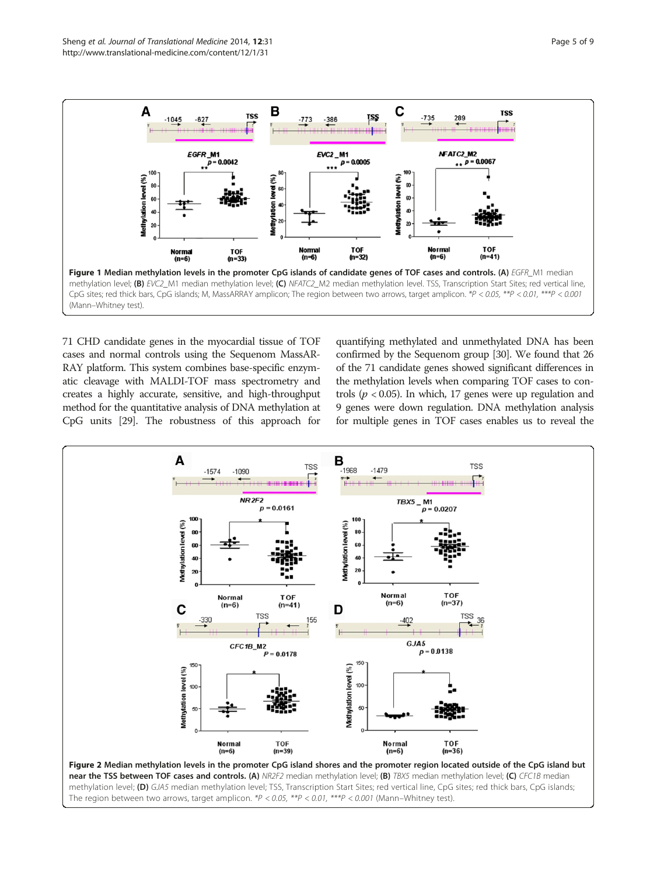<span id="page-4-0"></span>

71 CHD candidate genes in the myocardial tissue of TOF cases and normal controls using the Sequenom MassAR-RAY platform. This system combines base-specific enzymatic cleavage with MALDI-TOF mass spectrometry and creates a highly accurate, sensitive, and high-throughput method for the quantitative analysis of DNA methylation at CpG units [[29](#page-8-0)]. The robustness of this approach for

quantifying methylated and unmethylated DNA has been confirmed by the Sequenom group [[30](#page-8-0)]. We found that 26 of the 71 candidate genes showed significant differences in the methylation levels when comparing TOF cases to controls ( $p < 0.05$ ). In which, 17 genes were up regulation and 9 genes were down regulation. DNA methylation analysis for multiple genes in TOF cases enables us to reveal the

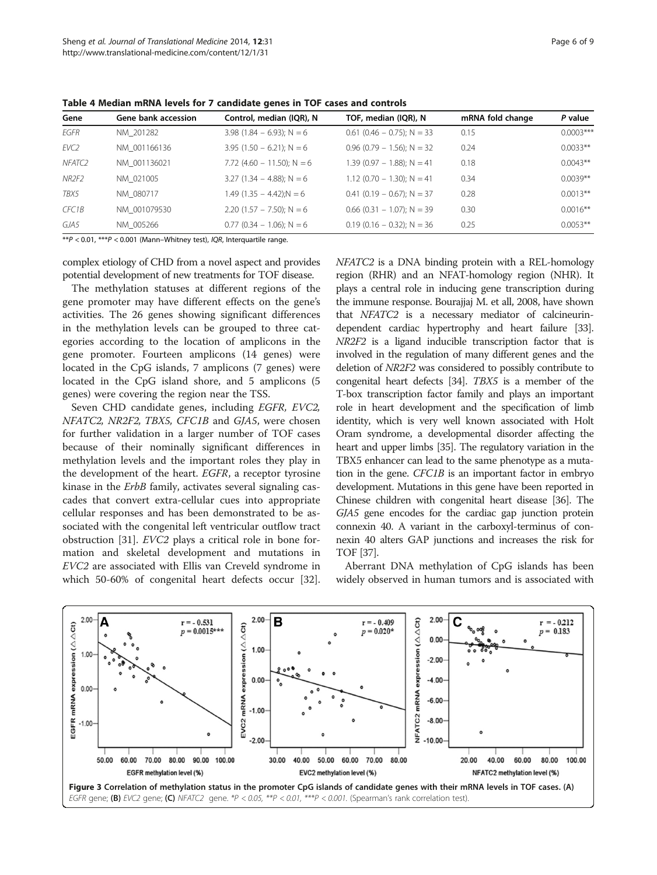| Gene               | Gene bank accession | Control, median (IQR), N      | TOF, median (IQR), N         | mRNA fold change | P value     |
|--------------------|---------------------|-------------------------------|------------------------------|------------------|-------------|
| EGFR               | NM 201282           | $3.98$ (1.84 – 6.93); N = 6   | $0.61$ (0.46 – 0.75); N = 33 | 0.15             | $0.0003***$ |
| EVC2               | NM 001166136        | $3.95$ (1.50 – 6.21); N = 6   | $0.96$ (0.79 - 1.56); N = 32 | 0.24             | $0.0033**$  |
| NFATC2             | NM 001136021        | 7.72 $(4.60 - 11.50)$ ; N = 6 | $1.39(0.97 - 1.88)$ ; N = 41 | 0.18             | $0.0043**$  |
| NR2F2              | NM 021005           | 3.27 $(1.34 - 4.88)$ ; N = 6  | $1.12$ (0.70 - 1.30); N = 41 | 0.34             | $0.0039**$  |
| TBX5               | NM 080717           | $1.49(1.35 - 4.42):N = 6$     | $0.41$ (0.19 – 0.67); N = 37 | 0.28             | $0.0013**$  |
| CFC <sub>1</sub> B | NM 001079530        | 2.20 $(1.57 - 7.50)$ ; N = 6  | $0.66$ (0.31 - 1.07); N = 39 | 0.30             | $0.0016**$  |
| GJA5               | NM 005266           | $0.77$ (0.34 - 1.06); N = 6   | $0.19$ (0.16 – 0.32); N = 36 | 0.25             | $0.0053**$  |
|                    |                     |                               |                              |                  |             |

<span id="page-5-0"></span>Table 4 Median mRNA levels for 7 candidate genes in TOF cases and controls

\*\* $P < 0.01$ , \*\*\* $P < 0.001$  (Mann–Whitney test), *IOR*, Interguartile range.

complex etiology of CHD from a novel aspect and provides potential development of new treatments for TOF disease.

The methylation statuses at different regions of the gene promoter may have different effects on the gene's activities. The 26 genes showing significant differences in the methylation levels can be grouped to three categories according to the location of amplicons in the gene promoter. Fourteen amplicons (14 genes) were located in the CpG islands, 7 amplicons (7 genes) were located in the CpG island shore, and 5 amplicons (5 genes) were covering the region near the TSS.

Seven CHD candidate genes, including EGFR, EVC2, NFATC2, NR2F2, TBX5, CFC1B and GJA5, were chosen for further validation in a larger number of TOF cases because of their nominally significant differences in methylation levels and the important roles they play in the development of the heart. EGFR, a receptor tyrosine kinase in the ErbB family, activates several signaling cascades that convert extra-cellular cues into appropriate cellular responses and has been demonstrated to be associated with the congenital left ventricular outflow tract obstruction [\[31](#page-8-0)]. EVC2 plays a critical role in bone formation and skeletal development and mutations in EVC2 are associated with Ellis van Creveld syndrome in which 50-60% of congenital heart defects occur [\[32](#page-8-0)]. NFATC2 is a DNA binding protein with a REL-homology region (RHR) and an NFAT-homology region (NHR). It plays a central role in inducing gene transcription during the immune response. Bourajjaj M. et all, 2008, have shown that NFATC2 is a necessary mediator of calcineurindependent cardiac hypertrophy and heart failure [\[33](#page-8-0)]. NR2F2 is a ligand inducible transcription factor that is involved in the regulation of many different genes and the deletion of NR2F2 was considered to possibly contribute to congenital heart defects [\[34\]](#page-8-0). TBX5 is a member of the T-box transcription factor family and plays an important role in heart development and the specification of limb identity, which is very well known associated with Holt Oram syndrome, a developmental disorder affecting the heart and upper limbs [\[35](#page-8-0)]. The regulatory variation in the TBX5 enhancer can lead to the same phenotype as a mutation in the gene. CFC1B is an important factor in embryo development. Mutations in this gene have been reported in Chinese children with congenital heart disease [[36](#page-8-0)]. The GJA5 gene encodes for the cardiac gap junction protein connexin 40. A variant in the carboxyl-terminus of connexin 40 alters GAP junctions and increases the risk for TOF [\[37\]](#page-8-0).

Aberrant DNA methylation of CpG islands has been widely observed in human tumors and is associated with

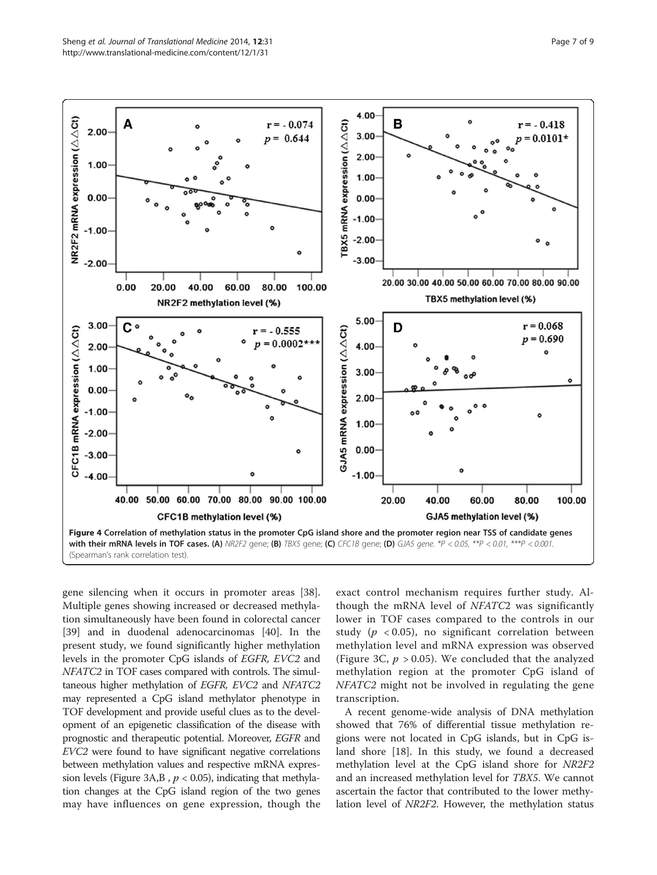<span id="page-6-0"></span>

gene silencing when it occurs in promoter areas [\[38](#page-8-0)]. Multiple genes showing increased or decreased methylation simultaneously have been found in colorectal cancer [[39\]](#page-8-0) and in duodenal adenocarcinomas [[40](#page-8-0)]. In the present study, we found significantly higher methylation levels in the promoter CpG islands of EGFR, EVC2 and NFATC2 in TOF cases compared with controls. The simultaneous higher methylation of EGFR, EVC2 and NFATC2 may represented a CpG island methylator phenotype in TOF development and provide useful clues as to the development of an epigenetic classification of the disease with prognostic and therapeutic potential. Moreover, EGFR and EVC2 were found to have significant negative correlations between methylation values and respective mRNA expres-sion levels (Figure [3A](#page-5-0),B,  $p < 0.05$ ), indicating that methylation changes at the CpG island region of the two genes may have influences on gene expression, though the

exact control mechanism requires further study. Although the mRNA level of NFATC2 was significantly lower in TOF cases compared to the controls in our study ( $p < 0.05$ ), no significant correlation between methylation level and mRNA expression was observed (Figure [3C](#page-5-0),  $p > 0.05$ ). We concluded that the analyzed methylation region at the promoter CpG island of NFATC2 might not be involved in regulating the gene transcription.

A recent genome-wide analysis of DNA methylation showed that 76% of differential tissue methylation regions were not located in CpG islands, but in CpG island shore [[18](#page-8-0)]. In this study, we found a decreased methylation level at the CpG island shore for NR2F2 and an increased methylation level for TBX5. We cannot ascertain the factor that contributed to the lower methylation level of NR2F2. However, the methylation status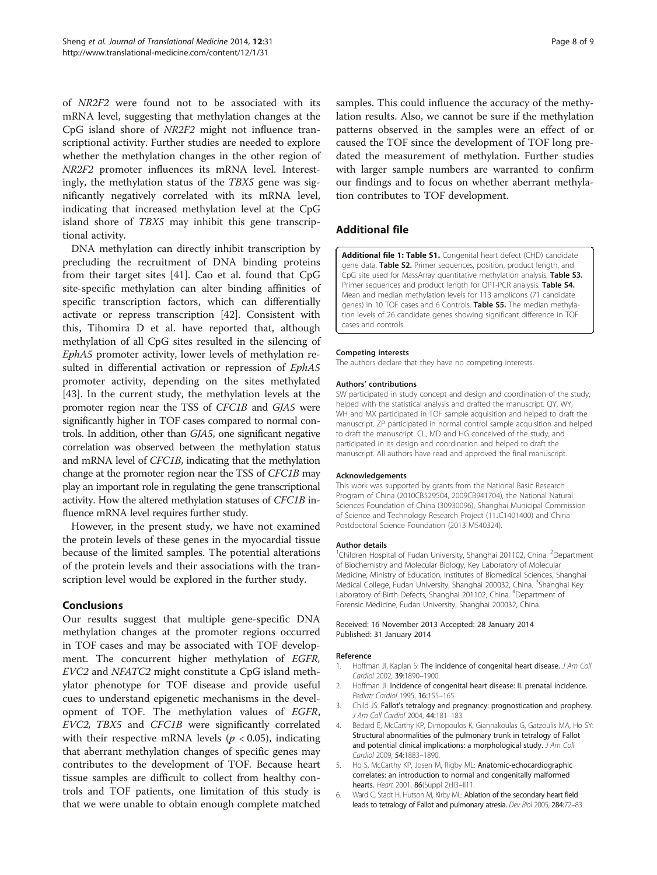<span id="page-7-0"></span>of NR2F2 were found not to be associated with its mRNA level, suggesting that methylation changes at the CpG island shore of NR2F2 might not influence transcriptional activity. Further studies are needed to explore whether the methylation changes in the other region of NR2F2 promoter influences its mRNA level. Interestingly, the methylation status of the TBX5 gene was significantly negatively correlated with its mRNA level, indicating that increased methylation level at the CpG island shore of TBX5 may inhibit this gene transcriptional activity.

DNA methylation can directly inhibit transcription by precluding the recruitment of DNA binding proteins from their target sites [\[41](#page-8-0)]. Cao et al. found that CpG site-specific methylation can alter binding affinities of specific transcription factors, which can differentially activate or repress transcription [\[42\]](#page-8-0). Consistent with this, Tihomira D et al. have reported that, although methylation of all CpG sites resulted in the silencing of EphA5 promoter activity, lower levels of methylation resulted in differential activation or repression of EphA5 promoter activity, depending on the sites methylated [[43\]](#page-8-0). In the current study, the methylation levels at the promoter region near the TSS of CFC1B and GJA5 were significantly higher in TOF cases compared to normal controls. In addition, other than GJA5, one significant negative correlation was observed between the methylation status and mRNA level of CFC1B, indicating that the methylation change at the promoter region near the TSS of CFC1B may play an important role in regulating the gene transcriptional activity. How the altered methylation statuses of CFC1B influence mRNA level requires further study.

However, in the present study, we have not examined the protein levels of these genes in the myocardial tissue because of the limited samples. The potential alterations of the protein levels and their associations with the transcription level would be explored in the further study.

#### **Conclusions**

Our results suggest that multiple gene-specific DNA methylation changes at the promoter regions occurred in TOF cases and may be associated with TOF development. The concurrent higher methylation of EGFR, EVC2 and NFATC2 might constitute a CpG island methylator phenotype for TOF disease and provide useful cues to understand epigenetic mechanisms in the development of TOF. The methylation values of EGFR, EVC2, TBX5 and CFC1B were significantly correlated with their respective mRNA levels ( $p < 0.05$ ), indicating that aberrant methylation changes of specific genes may contributes to the development of TOF. Because heart tissue samples are difficult to collect from healthy controls and TOF patients, one limitation of this study is that we were unable to obtain enough complete matched samples. This could influence the accuracy of the methylation results. Also, we cannot be sure if the methylation patterns observed in the samples were an effect of or caused the TOF since the development of TOF long predated the measurement of methylation. Further studies with larger sample numbers are warranted to confirm our findings and to focus on whether aberrant methylation contributes to TOF development.

#### Additional file

[Additional file 1: Table S1.](http://www.biomedcentral.com/content/supplementary/1479-5876-12-31-S1.doc) Congenital heart defect (CHD) candidate gene data. Table S2. Primer sequences, position, product length, and CpG site used for MassArray quantitative methylation analysis. Table S3. Primer sequences and product length for QPT-PCR analysis. Table S4. Mean and median methylation levels for 113 amplicons (71 candidate genes) in 10 TOF cases and 6 Controls. Table S5. The median methylation levels of 26 candidate genes showing significant difference in TOF cases and controls.

#### Competing interests

The authors declare that they have no competing interests.

#### Authors' contributions

SW participated in study concept and design and coordination of the study, helped with the statistical analysis and drafted the manuscript. QY, WY, WH and MX participated in TOF sample acquisition and helped to draft the manuscript. ZP participated in normal control sample acquisition and helped to draft the manuscript. CL, MD and HG conceived of the study, and participated in its design and coordination and helped to draft the manuscript. All authors have read and approved the final manuscript.

#### Acknowledgements

This work was supported by grants from the National Basic Research Program of China (2010CB529504, 2009CB941704), the National Natural Sciences Foundation of China (30930096), Shanghai Municipal Commission of Science and Technology Research Project (11JC1401400) and China Postdoctoral Science Foundation (2013 M540324).

#### Author details

<sup>1</sup>Children Hospital of Fudan University, Shanghai 201102, China. <sup>2</sup>Department of Biochemistry and Molecular Biology, Key Laboratory of Molecular Medicine, Ministry of Education, Institutes of Biomedical Sciences, Shanghai Medical College, Fudan University, Shanghai 200032, China. <sup>3</sup>Shanghai Key Laboratory of Birth Defects, Shanghai 201102, China. <sup>4</sup>Department of Forensic Medicine, Fudan University, Shanghai 200032, China.

#### Received: 16 November 2013 Accepted: 28 January 2014 Published: 31 January 2014

#### Reference

- 1. Hoffman Jl, Kaplan S: The incidence of congenital heart disease. J Am Coll Cardiol 2002, 39:1890-1900
- 2. Hoffman JI: Incidence of congenital heart disease: II. prenatal incidence. Pediatr Cardiol 1995, 16:155–165.
- 3. Child JS: Fallot's tetralogy and pregnancy: prognostication and prophesy. J Am Coll Cardiol 2004, 44:181–183.
- Bedard E, McCarthy KP, Dimopoulos K, Giannakoulas G, Gatzoulis MA, Ho SY: Structural abnormalities of the pulmonary trunk in tetralogy of Fallot and potential clinical implications: a morphological study. J Am Coll Cardiol 2009, 54:1883–1890.
- 5. Ho S, McCarthy KP, Josen M, Rigby ML: Anatomic-echocardiographic correlates: an introduction to normal and congenitally malformed hearts. Heart 2001, 86(Suppl 2):113-1111.
- 6. Ward C, Stadt H, Hutson M, Kirby ML: Ablation of the secondary heart field leads to tetralogy of Fallot and pulmonary atresia. Dev Biol 2005, 284:72–83.